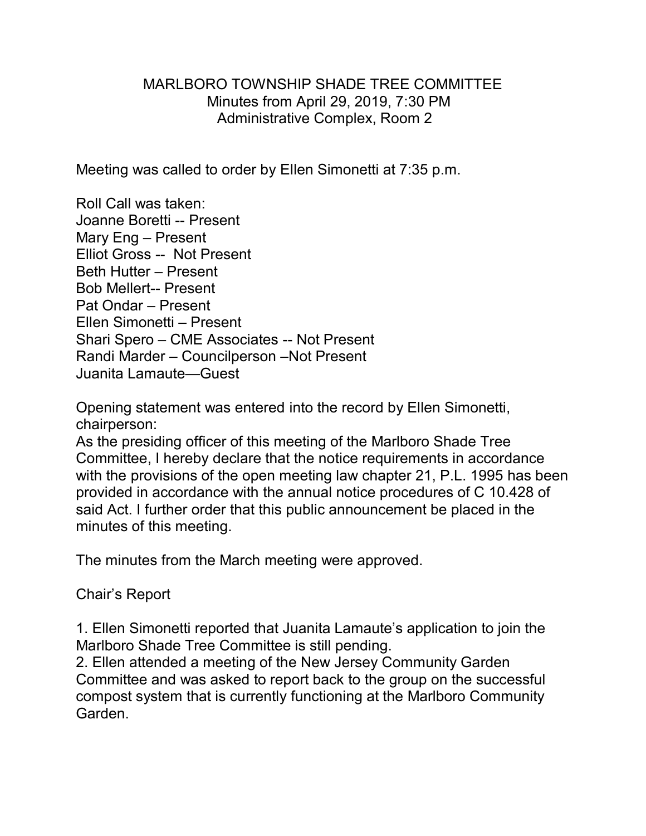## MARLBORO TOWNSHIP SHADE TREE COMMITTEE Minutes from April 29, 2019, 7:30 PM Administrative Complex, Room 2

Meeting was called to order by Ellen Simonetti at 7:35 p.m.

Roll Call was taken: Joanne Boretti -- Present Mary Eng – Present Elliot Gross -- Not Present Beth Hutter – Present Bob Mellert-- Present Pat Ondar – Present Ellen Simonetti – Present Shari Spero – CME Associates -- Not Present Randi Marder – Councilperson –Not Present Juanita Lamaute—Guest

Opening statement was entered into the record by Ellen Simonetti, chairperson:

As the presiding officer of this meeting of the Marlboro Shade Tree Committee, I hereby declare that the notice requirements in accordance with the provisions of the open meeting law chapter 21, P.L. 1995 has been provided in accordance with the annual notice procedures of C 10.428 of said Act. I further order that this public announcement be placed in the minutes of this meeting.

The minutes from the March meeting were approved.

Chair's Report

1. Ellen Simonetti reported that Juanita Lamaute's application to join the Marlboro Shade Tree Committee is still pending.

2. Ellen attended a meeting of the New Jersey Community Garden Committee and was asked to report back to the group on the successful compost system that is currently functioning at the Marlboro Community Garden.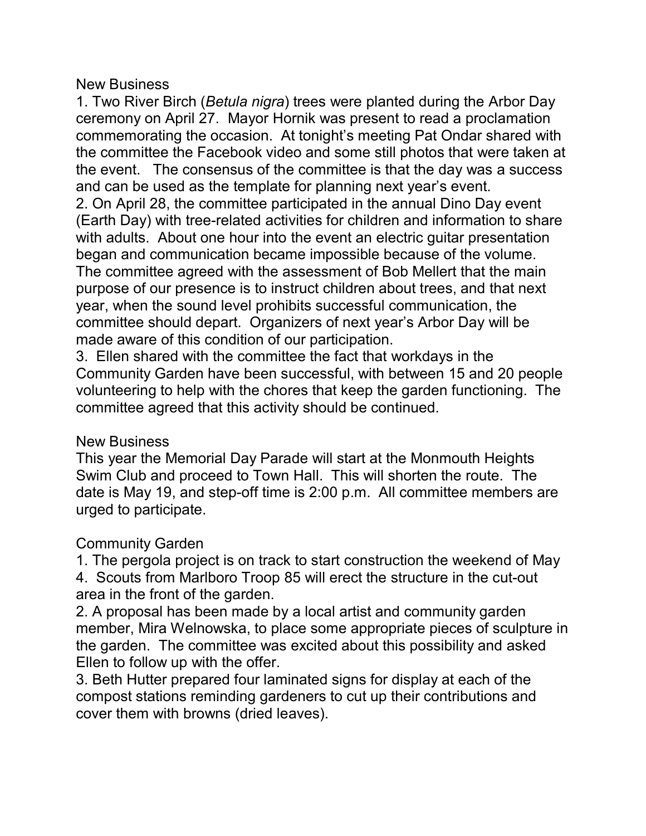## New Business

1. Two River Birch (*Betula nigra*) trees were planted during the Arbor Day ceremony on April 27. Mayor Hornik was present to read a proclamation commemorating the occasion. At tonight's meeting Pat Ondar shared with the committee the Facebook video and some still photos that were taken at the event. The consensus of the committee is that the day was a success and can be used as the template for planning next year's event. 2. On April 28, the committee participated in the annual Dino Day event (Earth Day) with tree-related activities for children and information to share with adults. About one hour into the event an electric guitar presentation began and communication became impossible because of the volume. The committee agreed with the assessment of Bob Mellert that the main purpose of our presence is to instruct children about trees, and that next year, when the sound level prohibits successful communication, the committee should depart. Organizers of next year's Arbor Day will be made aware of this condition of our participation.

3. Ellen shared with the committee the fact that workdays in the Community Garden have been successful, with between 15 and 20 people volunteering to help with the chores that keep the garden functioning. The committee agreed that this activity should be continued.

## New Business

This year the Memorial Day Parade will start at the Monmouth Heights Swim Club and proceed to Town Hall. This will shorten the route. The date is May 19, and step-off time is 2:00 p.m. All committee members are urged to participate.

## Community Garden

1. The pergola project is on track to start construction the weekend of May 4. Scouts from Marlboro Troop 85 will erect the structure in the cut-out area in the front of the garden.

2. A proposal has been made by a local artist and community garden member, Mira Welnowska, to place some appropriate pieces of sculpture in the garden. The committee was excited about this possibility and asked Ellen to follow up with the offer.

3. Beth Hutter prepared four laminated signs for display at each of the compost stations reminding gardeners to cut up their contributions and cover them with browns (dried leaves).